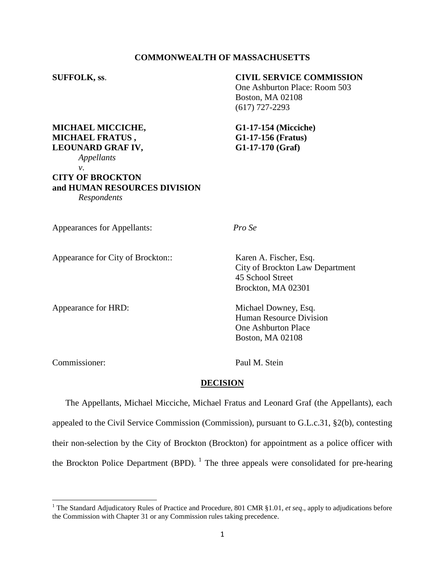### **COMMONWEALTH OF MASSACHUSETTS**

# **SUFFOLK, ss**. **CIVIL SERVICE COMMISSION**

One Ashburton Place: Room 503 Boston, MA 02108 (617) 727-2293

**MICHAEL MICCICHE, G1-17-154 (Micciche) MICHAEL FRATUS , G1-17-156 (Fratus)**

### **LEOUNARD GRAF IV, G1-17-170 (Graf)** *Appellants v*.

# **CITY OF BROCKTON and HUMAN RESOURCES DIVISION** *Respondents*

Appearances for Appellants: *Pro Se*

Appearance for City of Brockton:: Karen A. Fischer, Esq.

City of Brockton Law Department 45 School Street Brockton, MA 02301

Appearance for HRD: Michael Downey, Esq. Human Resource Division One Ashburton Place Boston, MA 02108

Commissioner: Paul M. Stein

 $\overline{a}$ 

# **DECISION**

The Appellants, Michael Micciche, Michael Fratus and Leonard Graf (the Appellants), each appealed to the Civil Service Commission (Commission), pursuant to G.L.c.31, §2(b), contesting their non-selection by the City of Brockton (Brockton) for appointment as a police officer with the Brockton Police Department (BPD).  $^1$  The three appeals were consolidated for pre-hearing

<sup>&</sup>lt;sup>1</sup> The Standard Adjudicatory Rules of Practice and Procedure, 801 CMR §1.01, *et seq.*, apply to adjudications before the Commission with Chapter 31 or any Commission rules taking precedence.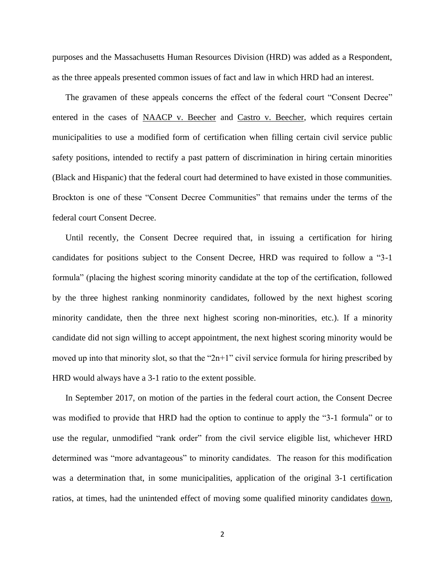purposes and the Massachusetts Human Resources Division (HRD) was added as a Respondent, as the three appeals presented common issues of fact and law in which HRD had an interest.

The gravamen of these appeals concerns the effect of the federal court "Consent Decree" entered in the cases of NAACP v. Beecher and Castro v. Beecher, which requires certain municipalities to use a modified form of certification when filling certain civil service public safety positions, intended to rectify a past pattern of discrimination in hiring certain minorities (Black and Hispanic) that the federal court had determined to have existed in those communities. Brockton is one of these "Consent Decree Communities" that remains under the terms of the federal court Consent Decree.

Until recently, the Consent Decree required that, in issuing a certification for hiring candidates for positions subject to the Consent Decree, HRD was required to follow a "3-1 formula" (placing the highest scoring minority candidate at the top of the certification, followed by the three highest ranking nonminority candidates, followed by the next highest scoring minority candidate, then the three next highest scoring non-minorities, etc.). If a minority candidate did not sign willing to accept appointment, the next highest scoring minority would be moved up into that minority slot, so that the " $2n+1$ " civil service formula for hiring prescribed by HRD would always have a 3-1 ratio to the extent possible.

In September 2017, on motion of the parties in the federal court action, the Consent Decree was modified to provide that HRD had the option to continue to apply the "3-1 formula" or to use the regular, unmodified "rank order" from the civil service eligible list, whichever HRD determined was "more advantageous" to minority candidates. The reason for this modification was a determination that, in some municipalities, application of the original 3-1 certification ratios, at times, had the unintended effect of moving some qualified minority candidates down,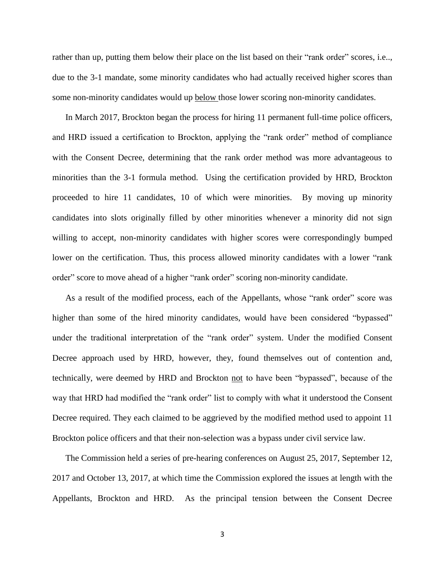rather than up, putting them below their place on the list based on their "rank order" scores, i.e.., due to the 3-1 mandate, some minority candidates who had actually received higher scores than some non-minority candidates would up below those lower scoring non-minority candidates.

In March 2017, Brockton began the process for hiring 11 permanent full-time police officers, and HRD issued a certification to Brockton, applying the "rank order" method of compliance with the Consent Decree, determining that the rank order method was more advantageous to minorities than the 3-1 formula method. Using the certification provided by HRD, Brockton proceeded to hire 11 candidates, 10 of which were minorities. By moving up minority candidates into slots originally filled by other minorities whenever a minority did not sign willing to accept, non-minority candidates with higher scores were correspondingly bumped lower on the certification. Thus, this process allowed minority candidates with a lower "rank" order" score to move ahead of a higher "rank order" scoring non-minority candidate.

As a result of the modified process, each of the Appellants, whose "rank order" score was higher than some of the hired minority candidates, would have been considered "bypassed" under the traditional interpretation of the "rank order" system. Under the modified Consent Decree approach used by HRD, however, they, found themselves out of contention and, technically, were deemed by HRD and Brockton not to have been "bypassed", because of the way that HRD had modified the "rank order" list to comply with what it understood the Consent Decree required. They each claimed to be aggrieved by the modified method used to appoint 11 Brockton police officers and that their non-selection was a bypass under civil service law.

The Commission held a series of pre-hearing conferences on August 25, 2017, September 12, 2017 and October 13, 2017, at which time the Commission explored the issues at length with the Appellants, Brockton and HRD. As the principal tension between the Consent Decree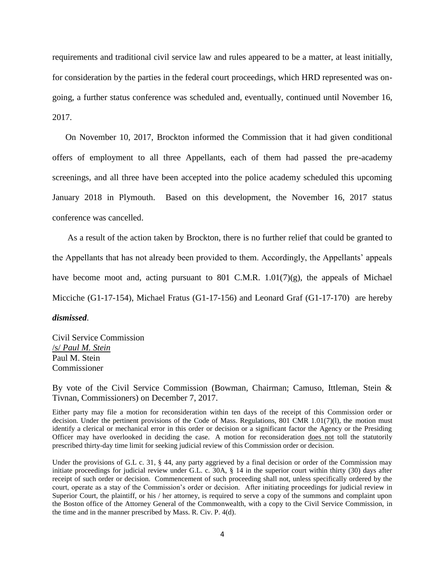requirements and traditional civil service law and rules appeared to be a matter, at least initially, for consideration by the parties in the federal court proceedings, which HRD represented was ongoing, a further status conference was scheduled and, eventually, continued until November 16, 2017.

On November 10, 2017, Brockton informed the Commission that it had given conditional offers of employment to all three Appellants, each of them had passed the pre-academy screenings, and all three have been accepted into the police academy scheduled this upcoming January 2018 in Plymouth. Based on this development, the November 16, 2017 status conference was cancelled.

As a result of the action taken by Brockton, there is no further relief that could be granted to the Appellants that has not already been provided to them. Accordingly, the Appellants' appeals have become moot and, acting pursuant to 801 C.M.R.  $1.01(7)(g)$ , the appeals of Michael Micciche (G1-17-154), Michael Fratus (G1-17-156) and Leonard Graf (G1-17-170) are hereby

*dismissed*.

Civil Service Commission /s/ *Paul M. Stein* Paul M. Stein Commissioner

By vote of the Civil Service Commission (Bowman, Chairman; Camuso, Ittleman, Stein & Tivnan, Commissioners) on December 7, 2017.

Either party may file a motion for reconsideration within ten days of the receipt of this Commission order or decision. Under the pertinent provisions of the Code of Mass. Regulations, 801 CMR 1.01(7)(l), the motion must identify a clerical or mechanical error in this order or decision or a significant factor the Agency or the Presiding Officer may have overlooked in deciding the case. A motion for reconsideration does not toll the statutorily prescribed thirty-day time limit for seeking judicial review of this Commission order or decision.

Under the provisions of G.L c. 31, § 44, any party aggrieved by a final decision or order of the Commission may initiate proceedings for judicial review under G.L. c. 30A, § 14 in the superior court within thirty (30) days after receipt of such order or decision. Commencement of such proceeding shall not, unless specifically ordered by the court, operate as a stay of the Commission's order or decision. After initiating proceedings for judicial review in Superior Court, the plaintiff, or his / her attorney, is required to serve a copy of the summons and complaint upon the Boston office of the Attorney General of the Commonwealth, with a copy to the Civil Service Commission, in the time and in the manner prescribed by Mass. R. Civ. P. 4(d).